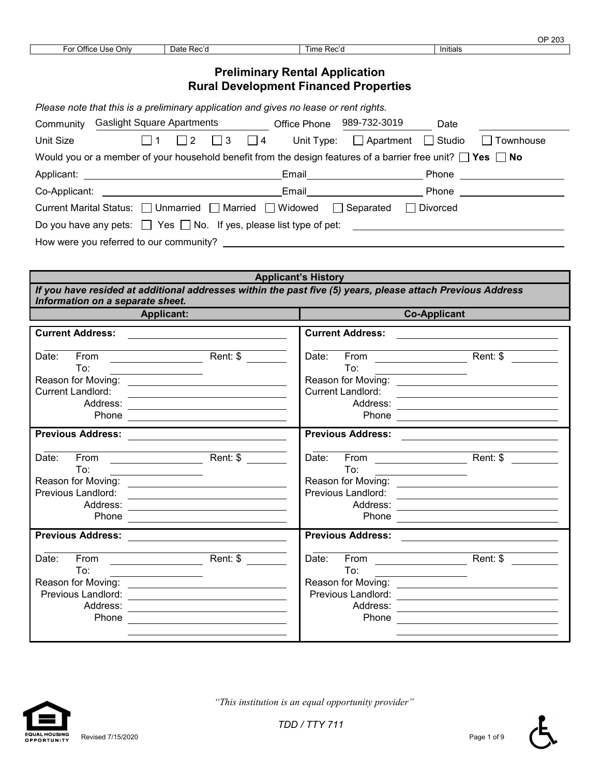|                                                                 |                      |                        | 000<br>203<br>ັ |
|-----------------------------------------------------------------|----------------------|------------------------|-----------------|
| <b>Dffice</b><br>∙or<br>Univ<br>$\overline{\phantom{a}}$<br>usc | Date<br>- -<br>זכט נ | ⊺ime<br>'صصر ب<br>ר פע | Initials        |
|                                                                 |                      |                        |                 |

### **Preliminary Rental Application Rural Development Financed Properties**

| Please note that this is a preliminary application and gives no lease or rent rights.                                 |                                                                                                                       |                  |                                |  |  |
|-----------------------------------------------------------------------------------------------------------------------|-----------------------------------------------------------------------------------------------------------------------|------------------|--------------------------------|--|--|
| <b>Gaslight Square Apartments</b><br>Community                                                                        | Office Phone                                                                                                          | 989-732-3019     | Date                           |  |  |
| Unit Size<br>$\Box$ 3<br>$\vert$   4                                                                                  | Unit Type:                                                                                                            | $\Box$ Apartment | Studio<br>Townhouse<br>$\perp$ |  |  |
| Would you or a member of your household benefit from the design features of a barrier free unit? $\Box$ Yes $\Box$ No |                                                                                                                       |                  |                                |  |  |
|                                                                                                                       | Email_______________________                                                                                          |                  | Phone                          |  |  |
|                                                                                                                       | Email <b>Exercise Service Service Service</b> Service Service Service Service Service Service Service Service Service |                  | <b>Phone</b> Phone             |  |  |
| Current Marital Status: □ Unmarried □ Married □ Widowed                                                               |                                                                                                                       | □ Separated      | Divorced                       |  |  |
| Do you have any pets: $\Box$ Yes $\Box$ No. If yes, please list type of pet:                                          |                                                                                                                       |                  |                                |  |  |
| How were you referred to our community?                                                                               |                                                                                                                       |                  |                                |  |  |
|                                                                                                                       |                                                                                                                       |                  |                                |  |  |

| <b>Applicant's History</b>                                                                                                                     |                                                                                                                                                                                                                                                                                                                                        |                                                            |                                                                                                                      |  |  |
|------------------------------------------------------------------------------------------------------------------------------------------------|----------------------------------------------------------------------------------------------------------------------------------------------------------------------------------------------------------------------------------------------------------------------------------------------------------------------------------------|------------------------------------------------------------|----------------------------------------------------------------------------------------------------------------------|--|--|
| If you have resided at additional addresses within the past five (5) years, please attach Previous Address<br>Information on a separate sheet. |                                                                                                                                                                                                                                                                                                                                        |                                                            |                                                                                                                      |  |  |
|                                                                                                                                                | <b>Applicant:</b>                                                                                                                                                                                                                                                                                                                      |                                                            | <b>Co-Applicant</b>                                                                                                  |  |  |
| <b>Current Address:</b>                                                                                                                        | <u> 1980 - Andrea Aonaichte ann an t-Aonaichte ann an t-Aonaichte ann an t-Aonaichte ann an t-Aonaichte ann an t-</u>                                                                                                                                                                                                                  | <b>Current Address:</b>                                    | <u> 1989 - John Stein, Amerikaansk politiker (</u>                                                                   |  |  |
| Date:<br>To:<br><b>Current Landlord:</b>                                                                                                       | the control of the control of the control of the<br>Reason for Moving: _________________________________<br><u> 1989 - Andrea Andrew Maria (h. 1989).</u><br>Phone <u>____________________</u>                                                                                                                                         | Date:<br>To:<br><b>Current Landlord:</b>                   | <u> 1989 - Andrea Andrew Maria (h. 1989).</u>                                                                        |  |  |
| <b>Previous Address:</b>                                                                                                                       | <u> 1989 - Jan Stein Harry Stein Harry Stein Harry Stein Harry Stein Harry Stein Harry Stein Harry Stein Harry St</u>                                                                                                                                                                                                                  | <b>Previous Address:</b>                                   |                                                                                                                      |  |  |
| Date:<br>From<br>To:<br>Previous Landlord:<br>Address:                                                                                         | Rent: \$<br><u> 1989 - Johann Barn, amerikansk politiker (d. 1989)</u><br>Phone 2008 2009 2010 2021 2022 2023 2024 2022 2023 2024 2022 2023 2024 2022 2023 2024 2022 2023 2024 2025 2026                                                                                                                                               | Date:<br>To:<br>Previous Landlord:                         | Reason for Moving: ___________________________________<br><u> 1989 - Johann Barn, amerikansk politiker (d. 1989)</u> |  |  |
| <b>Previous Address:</b>                                                                                                                       |                                                                                                                                                                                                                                                                                                                                        | <b>Previous Address:</b>                                   |                                                                                                                      |  |  |
| From<br>Date:<br>To:<br>Previous Landlord:<br>Address:<br>Phone                                                                                | Rent: \$<br>the control of the control of the<br><u>and the state of the state of the state of the state of the state of the state of the state of the state of the state of the state of the state of the state of the state of the state of the state of the state of the state</u><br><u> 1980 - Andrea Andrew Maria (h. 1980).</u> | $From \t 1$<br>Date:<br>To:<br>Previous Landlord:<br>Phone | Rent: \$<br><u> 1986 - John Stein, Amerikaansk kanton (</u>                                                          |  |  |



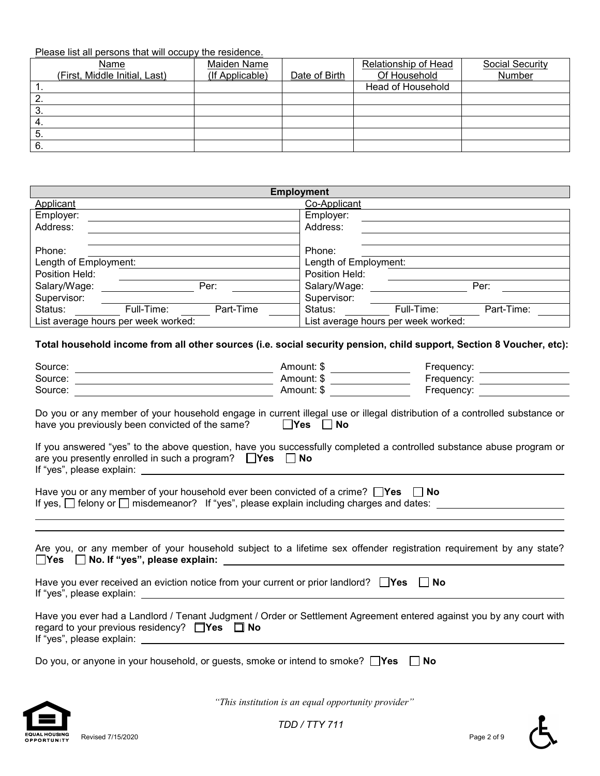### Please list all persons that will occupy the residence.

| Name                          | Maiden Name     |               | Relationship of Head | Social Security |
|-------------------------------|-----------------|---------------|----------------------|-----------------|
| (First, Middle Initial, Last) | (If Applicable) | Date of Birth | Of Household         | Number          |
|                               |                 |               | Head of Household    |                 |
|                               |                 |               |                      |                 |
| 3.                            |                 |               |                      |                 |
| 4.                            |                 |               |                      |                 |
| - 5.                          |                 |               |                      |                 |
| 6.                            |                 |               |                      |                 |

| <b>Employment</b>                   |            |           |                |                                     |            |  |
|-------------------------------------|------------|-----------|----------------|-------------------------------------|------------|--|
| Applicant                           |            |           | Co-Applicant   |                                     |            |  |
| Employer:                           |            |           | Employer:      |                                     |            |  |
| Address:                            |            |           | Address:       |                                     |            |  |
|                                     |            |           |                |                                     |            |  |
| Phone:                              |            |           | Phone:         |                                     |            |  |
| Length of Employment:               |            |           |                | Length of Employment:               |            |  |
| Position Held:                      |            |           | Position Held: |                                     |            |  |
| Salary/Wage:                        |            | Per:      | Salary/Wage:   |                                     | Per:       |  |
| Supervisor:                         |            |           | Supervisor:    |                                     |            |  |
| Status:                             | Full-Time: | Part-Time | Status:        | Full-Time:                          | Part-Time: |  |
| List average hours per week worked: |            |           |                | List average hours per week worked: |            |  |

#### **Total household income from all other sources (i.e. social security pension, child support, Section 8 Voucher, etc):**

| Source:<br><u> 1980 - Johann Barn, amerikan besteman besteman besteman besteman besteman besteman besteman besteman bestema</u>                                                                                 | Amount: \$ | Frequency: _________________      |
|-----------------------------------------------------------------------------------------------------------------------------------------------------------------------------------------------------------------|------------|-----------------------------------|
| Source:                                                                                                                                                                                                         | Amount: \$ | Frequency: _________________      |
| Source:                                                                                                                                                                                                         | Amount: \$ | Frequency: <u>_______________</u> |
| Do you or any member of your household engage in current illegal use or illegal distribution of a controlled substance or<br>have you previously been convicted of the same? $\Box$ Yes $\Box$ No               |            |                                   |
| If you answered "yes" to the above question, have you successfully completed a controlled substance abuse program or<br>are you presently enrolled in such a program? $\Box$ Yes $\Box$ No                      |            |                                   |
| Have you or any member of your household ever been convicted of a crime? $\Box$ Yes $\Box$ No<br>If yes, □ felony or □ misdemeanor? If "yes", please explain including charges and dates: _____________________ |            |                                   |
| Are you, or any member of your household subject to a lifetime sex offender registration requirement by any state?                                                                                              |            |                                   |
| Have you ever received an eviction notice from your current or prior landlord? $\Box$ Yes $\Box$ No                                                                                                             |            |                                   |
| Have you ever had a Landlord / Tenant Judgment / Order or Settlement Agreement entered against you by any court with<br>regard to your previous residency? $\Box$ Yes $\Box$ No                                 |            |                                   |
| Do you, or anyone in your household, or guests, smoke or intend to smoke? $\Box$ Yes                                                                                                                            |            | No                                |



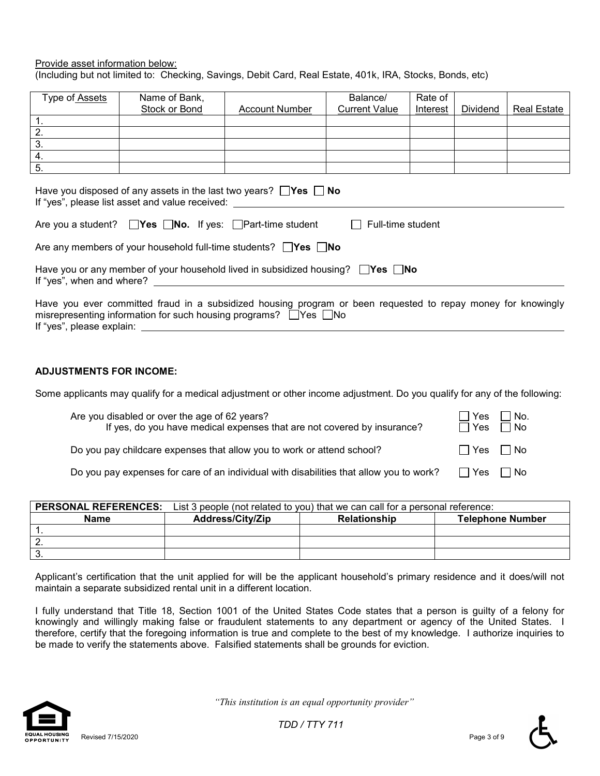#### Provide asset information below: (Including but not limited to: Checking, Savings, Debit Card, Real Estate, 401k, IRA, Stocks, Bonds, etc)

| Type of Assets                                                                                                                                                                                                                                                                                                 | Name of Bank, |                       | Balance/             | Rate of  |          |                    |
|----------------------------------------------------------------------------------------------------------------------------------------------------------------------------------------------------------------------------------------------------------------------------------------------------------------|---------------|-----------------------|----------------------|----------|----------|--------------------|
|                                                                                                                                                                                                                                                                                                                | Stock or Bond | <b>Account Number</b> | <b>Current Value</b> | Interest | Dividend | <b>Real Estate</b> |
| $\mathbf{1}$ .                                                                                                                                                                                                                                                                                                 |               |                       |                      |          |          |                    |
| $\overline{2}$ .                                                                                                                                                                                                                                                                                               |               |                       |                      |          |          |                    |
| $\overline{3}$ .                                                                                                                                                                                                                                                                                               |               |                       |                      |          |          |                    |
| $\overline{4}$ .                                                                                                                                                                                                                                                                                               |               |                       |                      |          |          |                    |
| $\overline{5}$ .                                                                                                                                                                                                                                                                                               |               |                       |                      |          |          |                    |
| Have you disposed of any assets in the last two years? $\Box$ Yes $\Box$ No<br>If "yes", please list asset and value received:<br>Are you a student? $\Box$ Yes $\Box$ No. If yes: $\Box$ Part-time student<br>Full-time student<br>Are any members of your household full-time students? $\Box$ Yes $\Box$ No |               |                       |                      |          |          |                    |
| Have you or any member of your household lived in subsidized housing? $\Box$ Yes $\Box$ No<br>If "yes", when and where?                                                                                                                                                                                        |               |                       |                      |          |          |                    |
| Have you ever committed fraud in a subsidized housing program or been requested to repay money for knowingly<br>misrepresenting information for such housing programs? $\Box$ Yes $\Box$ No                                                                                                                    |               |                       |                      |          |          |                    |

#### **ADJUSTMENTS FOR INCOME:**

Some applicants may qualify for a medical adjustment or other income adjustment. Do you qualify for any of the following:

| Are you disabled or over the age of 62 years?<br>If yes, do you have medical expenses that are not covered by insurance? | ' No.<br>∴ I Yes<br>$\Box$ Yes<br>l No |  |
|--------------------------------------------------------------------------------------------------------------------------|----------------------------------------|--|
| Do you pay childcare expenses that allow you to work or attend school?                                                   | Yes   No                               |  |
| Do you pay expenses for care of an individual with disabilities that allow you to work?                                  | $\Box$ Yes<br>l No                     |  |

| <b>PERSONAL REFERENCES:</b> | List 3 people (not related to you) that we can call for a personal reference: |                     |                         |  |  |
|-----------------------------|-------------------------------------------------------------------------------|---------------------|-------------------------|--|--|
| <b>Name</b>                 | <b>Address/City/Zip</b>                                                       | <b>Relationship</b> | <b>Telephone Number</b> |  |  |
|                             |                                                                               |                     |                         |  |  |
|                             |                                                                               |                     |                         |  |  |
|                             |                                                                               |                     |                         |  |  |

Applicant's certification that the unit applied for will be the applicant household's primary residence and it does/will not maintain a separate subsidized rental unit in a different location.

I fully understand that Title 18, Section 1001 of the United States Code states that a person is guilty of a felony for knowingly and willingly making false or fraudulent statements to any department or agency of the United States. I therefore, certify that the foregoing information is true and complete to the best of my knowledge. I authorize inquiries to be made to verify the statements above. Falsified statements shall be grounds for eviction.



 *"This institution is an equal opportunity provider"*

*TDD / TTY 711*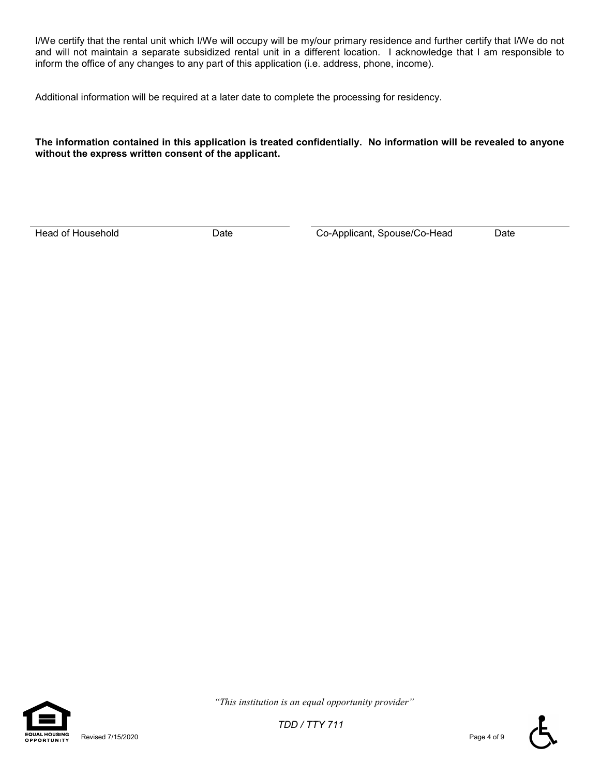I/We certify that the rental unit which I/We will occupy will be my/our primary residence and further certify that I/We do not and will not maintain a separate subsidized rental unit in a different location. I acknowledge that I am responsible to inform the office of any changes to any part of this application (i.e. address, phone, income).

Additional information will be required at a later date to complete the processing for residency.

#### **The information contained in this application is treated confidentially. No information will be revealed to anyone without the express written consent of the applicant.**

Head of Household **Date** Date **Date Co-Applicant, Spouse/Co-Head** Date



 *"This institution is an equal opportunity provider"*

*TDD / TTY 711*

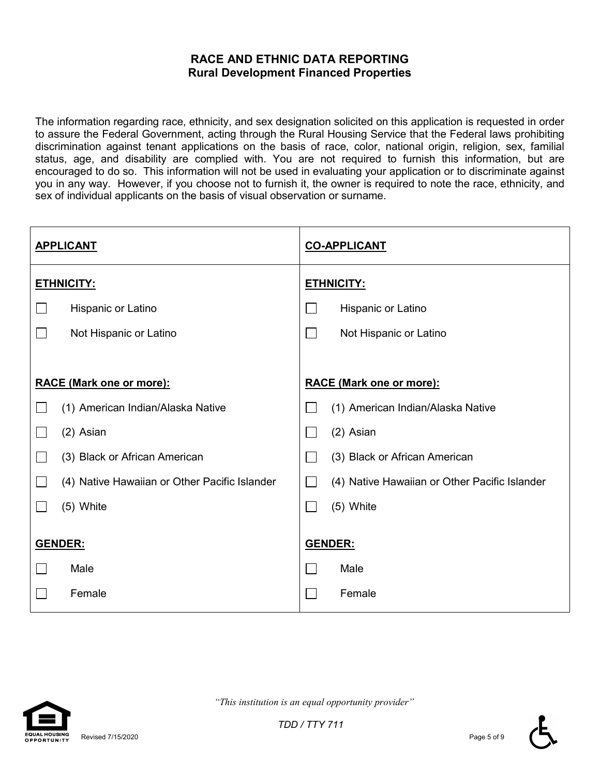## **RACE AND ETHNIC DATA REPORTING Rural Development Financed Properties**

The information regarding race, ethnicity, and sex designation solicited on this application is requested in order to assure the Federal Government, acting through the Rural Housing Service that the Federal laws prohibiting discrimination against tenant applications on the basis of race, color, national origin, religion, sex, familial status, age, and disability are complied with. You are not required to furnish this information, but are encouraged to do so. This information will not be used in evaluating your application or to discriminate against you in any way. However, if you choose not to furnish it, the owner is required to note the race, ethnicity, and sex of individual applicants on the basis of visual observation or surname.

| <b>APPLICANT</b> |                                               | <b>CO-APPLICANT</b> |                                               |  |
|------------------|-----------------------------------------------|---------------------|-----------------------------------------------|--|
|                  | <b>ETHNICITY:</b>                             |                     | <b>ETHNICITY:</b>                             |  |
|                  | Hispanic or Latino                            |                     | Hispanic or Latino                            |  |
|                  | Not Hispanic or Latino                        |                     | Not Hispanic or Latino                        |  |
|                  |                                               |                     |                                               |  |
|                  | <b>RACE (Mark one or more):</b>               |                     | <b>RACE (Mark one or more):</b>               |  |
|                  | (1) American Indian/Alaska Native             |                     | (1) American Indian/Alaska Native             |  |
|                  | (2) Asian                                     |                     | (2) Asian                                     |  |
|                  | (3) Black or African American                 |                     | (3) Black or African American                 |  |
|                  | (4) Native Hawaiian or Other Pacific Islander |                     | (4) Native Hawaiian or Other Pacific Islander |  |
|                  | (5) White                                     |                     | (5) White                                     |  |
|                  | GENDER:                                       |                     | GENDER:                                       |  |
|                  | Male                                          |                     | Male                                          |  |
|                  | Female                                        |                     | Female                                        |  |



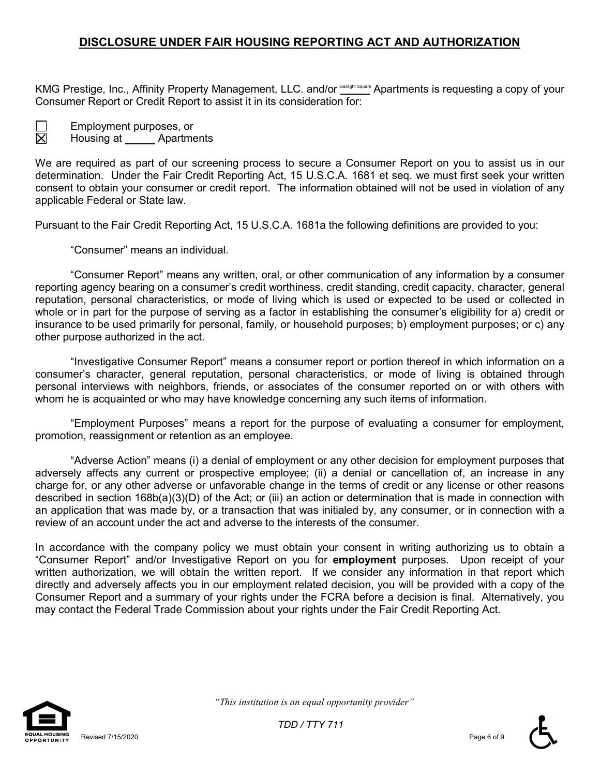## **DISCLOSURE UNDER FAIR HOUSING REPORTING ACT AND AUTHORIZATION**

KMG Prestige, Inc., Affinity Property Management, LLC. and/or ௌ Apartments is requesting a copy of your Consumer Report or Credit Report to assist it in its consideration for:

Employment purposes, or Housing at \_\_\_\_\_\_ Apartments

We are required as part of our screening process to secure a Consumer Report on you to assist us in our determination. Under the Fair Credit Reporting Act, 15 U.S.C.A. 1681 et seq. we must first seek your written consent to obtain your consumer or credit report. The information obtained will not be used in violation of any applicable Federal or State law.

Pursuant to the Fair Credit Reporting Act, 15 U.S.C.A. 1681a the following definitions are provided to you:

"Consumer" means an individual.

"Consumer Report" means any written, oral, or other communication of any information by a consumer reporting agency bearing on a consumer's credit worthiness, credit standing, credit capacity, character, general reputation, personal characteristics, or mode of living which is used or expected to be used or collected in whole or in part for the purpose of serving as a factor in establishing the consumer's eligibility for a) credit or insurance to be used primarily for personal, family, or household purposes; b) employment purposes; or c) any other purpose authorized in the act.

"Investigative Consumer Report" means a consumer report or portion thereof in which information on a consumer's character, general reputation, personal characteristics, or mode of living is obtained through personal interviews with neighbors, friends, or associates of the consumer reported on or with others with whom he is acquainted or who may have knowledge concerning any such items of information.

"Employment Purposes" means a report for the purpose of evaluating a consumer for employment, promotion, reassignment or retention as an employee.

"Adverse Action" means (i) a denial of employment or any other decision for employment purposes that adversely affects any current or prospective employee; (ii) a denial or cancellation of, an increase in any charge for, or any other adverse or unfavorable change in the terms of credit or any license or other reasons described in section 168b(a)(3)(D) of the Act; or (iii) an action or determination that is made in connection with an application that was made by, or a transaction that was initialed by, any consumer, or in connection with a review of an account under the act and adverse to the interests of the consumer.

In accordance with the company policy we must obtain your consent in writing authorizing us to obtain a "Consumer Report" and/or Investigative Report on you for **employment** purposes. Upon receipt of your written authorization, we will obtain the written report. If we consider any information in that report which directly and adversely affects you in our employment related decision, you will be provided with a copy of the Consumer Report and a summary of your rights under the FCRA before a decision is final. Alternatively, you may contact the Federal Trade Commission about your rights under the Fair Credit Reporting Act.



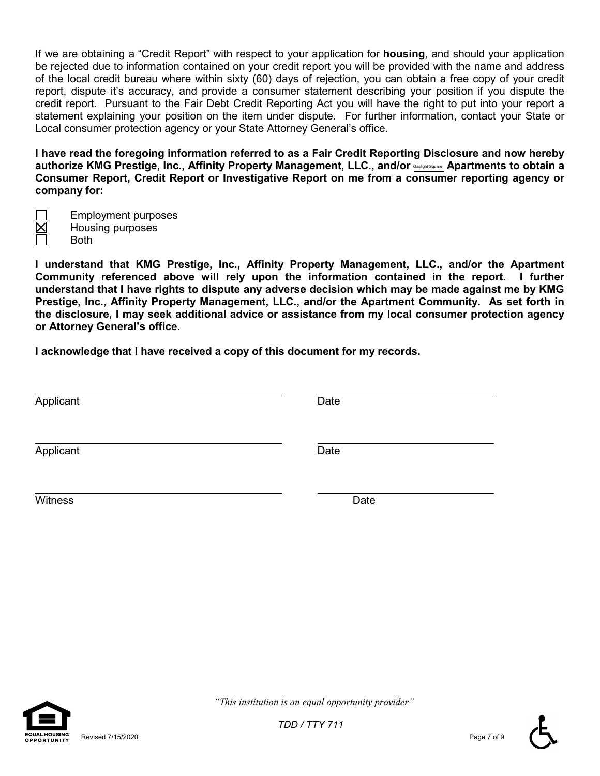If we are obtaining a "Credit Report" with respect to your application for **housing**, and should your application be rejected due to information contained on your credit report you will be provided with the name and address of the local credit bureau where within sixty (60) days of rejection, you can obtain a free copy of your credit report, dispute it's accuracy, and provide a consumer statement describing your position if you dispute the credit report. Pursuant to the Fair Debt Credit Reporting Act you will have the right to put into your report a statement explaining your position on the item under dispute. For further information, contact your State or Local consumer protection agency or your State Attorney General's office.

**I have read the foregoing information referred to as a Fair Credit Reporting Disclosure and now hereby**  authorize KMG Prestige, Inc., Affinity Property Management, LLC., and/or **saslight Square.** Apartments to obtain a **Consumer Report, Credit Report or Investigative Report on me from a consumer reporting agency or company for:**

Employment purposes Housing purposes

Both

**I understand that KMG Prestige, Inc., Affinity Property Management, LLC., and/or the Apartment Community referenced above will rely upon the information contained in the report. I further understand that I have rights to dispute any adverse decision which may be made against me by KMG Prestige, Inc., Affinity Property Management, LLC., and/or the Apartment Community. As set forth in the disclosure, I may seek additional advice or assistance from my local consumer protection agency or Attorney General's office.**

**I acknowledge that I have received a copy of this document for my records.**

| Applicant | Date |
|-----------|------|
| Applicant | Date |
| Witness   | Date |



Revised 7/15/2020 Page 7 of 9

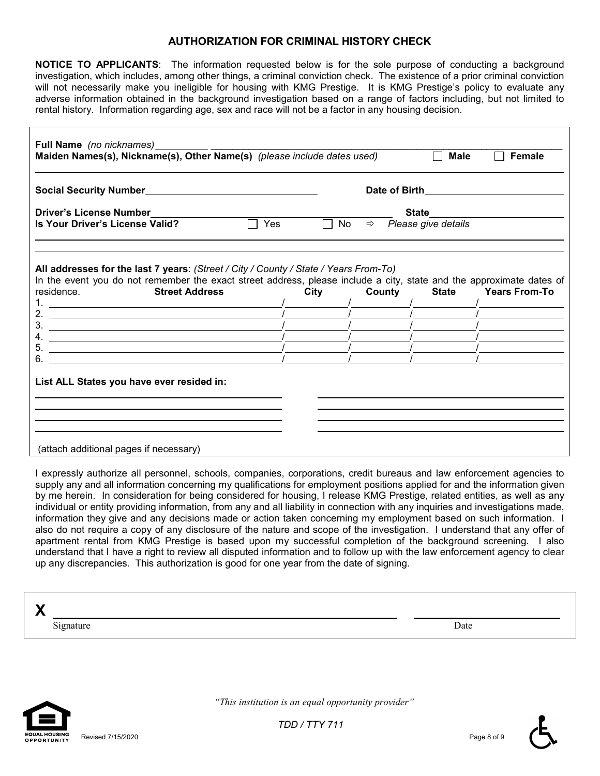#### **AUTHORIZATION FOR CRIMINAL HISTORY CHECK**

**NOTICE TO APPLICANTS**: The information requested below is for the sole purpose of conducting a background investigation, which includes, among other things, a criminal conviction check. The existence of a prior criminal conviction will not necessarily make you ineligible for housing with KMG Prestige. It is KMG Prestige's policy to evaluate any adverse information obtained in the background investigation based on a range of factors including, but not limited to rental history. Information regarding age, sex and race will not be a factor in any housing decision.

| Full Name (no nicknames)<br>Maiden Names(s), Nickname(s), Other Name(s) (please include dates used)<br><b>Male</b><br>Female                                                                                                                                                                                                                                                                                                                                                                                                                                                                                                                                                                                                                                                  |                                     |  |                                      |                            |
|-------------------------------------------------------------------------------------------------------------------------------------------------------------------------------------------------------------------------------------------------------------------------------------------------------------------------------------------------------------------------------------------------------------------------------------------------------------------------------------------------------------------------------------------------------------------------------------------------------------------------------------------------------------------------------------------------------------------------------------------------------------------------------|-------------------------------------|--|--------------------------------------|----------------------------|
| Social Security Number and the control of the control of the control of the control of the control of the control of the control of the control of the control of the control of the control of the control of the control of                                                                                                                                                                                                                                                                                                                                                                                                                                                                                                                                                 | Date of Birth <b>Exercise State</b> |  |                                      |                            |
| <b>Driver's License Number</b>                                                                                                                                                                                                                                                                                                                                                                                                                                                                                                                                                                                                                                                                                                                                                |                                     |  | State                                |                            |
| Is Your Driver's License Valid?                                                                                                                                                                                                                                                                                                                                                                                                                                                                                                                                                                                                                                                                                                                                               | $\Box$ Yes                          |  | No $\Rightarrow$ Please give details |                            |
| All addresses for the last 7 years: (Street / City / County / State / Years From-To)<br>In the event you do not remember the exact street address, please include a city, state and the approximate dates of<br>residence. Street Address<br>2. $\frac{1}{2}$ $\frac{1}{2}$ $\frac{1}{2}$ $\frac{1}{2}$ $\frac{1}{2}$ $\frac{1}{2}$ $\frac{1}{2}$ $\frac{1}{2}$ $\frac{1}{2}$ $\frac{1}{2}$ $\frac{1}{2}$ $\frac{1}{2}$ $\frac{1}{2}$ $\frac{1}{2}$ $\frac{1}{2}$ $\frac{1}{2}$ $\frac{1}{2}$ $\frac{1}{2}$ $\frac{1}{2}$ $\frac{1}{2}$ $\frac{1}{2}$ $\frac{1}{2}$<br>4.<br><u> 2008 - An Dùbhlachd ann an Dùbhlachd ann an Dùbhlachd ann an Dùbhlachd ann an Dùbhlachd ann an Dùbhlachd ann a</u><br>5.<br><u> 1989 - Johann John Stone, Amerikaansk politiker († 1908)</u> | City                                |  |                                      | County State Years From-To |
| 6.<br><u> 1980 - Johann Barbara, martin a bhaile an t-Alban an t-Alban an t-Alban an t-Alban an t-Alban an t-Alban an t-</u><br>List ALL States you have ever resided in:<br>(attach additional pages if necessary)                                                                                                                                                                                                                                                                                                                                                                                                                                                                                                                                                           |                                     |  |                                      |                            |

I expressly authorize all personnel, schools, companies, corporations, credit bureaus and law enforcement agencies to supply any and all information concerning my qualifications for employment positions applied for and the information given by me herein. In consideration for being considered for housing, I release KMG Prestige, related entities, as well as any individual or entity providing information, from any and all liability in connection with any inquiries and investigations made, information they give and any decisions made or action taken concerning my employment based on such information. I also do not require a copy of any disclosure of the nature and scope of the investigation. I understand that any offer of apartment rental from KMG Prestige is based upon my successful completion of the background screening. I also understand that I have a right to review all disputed information and to follow up with the law enforcement agency to clear up any discrepancies. This authorization is good for one year from the date of signing.

| v                                                 |      |
|---------------------------------------------------|------|
| $\sim$ .<br>ignature<br>$\mathbf{u}_{\mathbf{b}}$ | Date |



 *"This institution is an equal opportunity provider"*

*TDD / TTY 711*

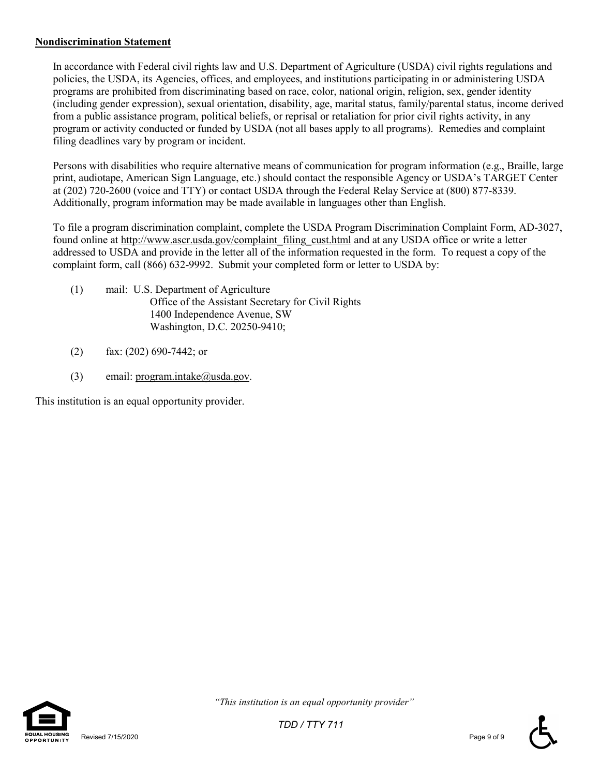#### **Nondiscrimination Statement**

In accordance with Federal civil rights law and U.S. Department of Agriculture (USDA) civil rights regulations and policies, the USDA, its Agencies, offices, and employees, and institutions participating in or administering USDA programs are prohibited from discriminating based on race, color, national origin, religion, sex, gender identity (including gender expression), sexual orientation, disability, age, marital status, family/parental status, income derived from a public assistance program, political beliefs, or reprisal or retaliation for prior civil rights activity, in any program or activity conducted or funded by USDA (not all bases apply to all programs). Remedies and complaint filing deadlines vary by program or incident.

Persons with disabilities who require alternative means of communication for program information (e.g., Braille, large print, audiotape, American Sign Language, etc.) should contact the responsible Agency or USDA's TARGET Center at (202) 720-2600 (voice and TTY) or contact USDA through the Federal Relay Service at (800) 877-8339. Additionally, program information may be made available in languages other than English.

To file a program discrimination complaint, complete the USDA Program Discrimination Complaint Form, AD-3027, found online at http://www.ascr.usda.gov/complaint\_filing\_cust.html and at any USDA office or write a letter addressed to USDA and provide in the letter all of the information requested in the form. To request a copy of the complaint form, call (866) 632-9992. Submit your completed form or letter to USDA by:

- (1) mail: U.S. Department of Agriculture Office of the Assistant Secretary for Civil Rights 1400 Independence Avenue, SW Washington, D.C. 20250-9410;
- (2) fax: (202) 690-7442; or
- (3) email:  $program.intake@useda.gov$ .

This institution is an equal opportunity provider.



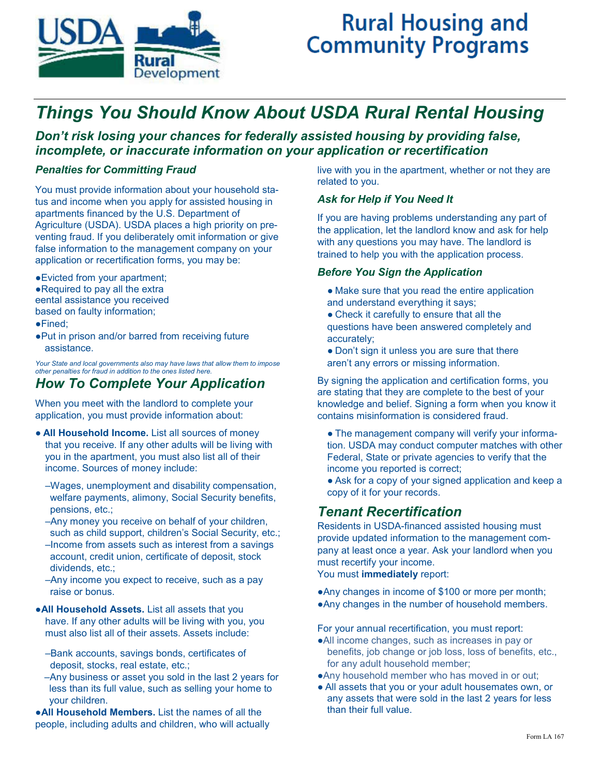

# **Rural Housing and Community Programs**

# *Things You Should Know About USDA Rural Rental Housing*

*Don't risk losing your chances for federally assisted housing by providing false, incomplete, or inaccurate information on your application or recertification*

#### *Penalties for Committing Fraud*

You must provide information about your household status and income when you apply for assisted housing in apartments financed by the U.S. Department of Agriculture (USDA). USDA places a high priority on preventing fraud. If you deliberately omit information or give false information to the management company on your application or recertification forms, you may be:

●Evicted from your apartment; ●Required to pay all the extra eental assistance you received based on faulty information; ●Fined;

●Put in prison and/or barred from receiving future assistance.

*Your State and local governments also may have laws that allow them to impose other penalties for fraud in addition to the ones listed here.* 

## *How To Complete Your Application*

When you meet with the landlord to complete your application, you must provide information about:

- **All Household Income.** List all sources of money that you receive. If any other adults will be living with you in the apartment, you must also list all of their income. Sources of money include:
	- –Wages, unemployment and disability compensation, welfare payments, alimony, Social Security benefits, pensions, etc.;
	- –Any money you receive on behalf of your children, such as child support, children's Social Security, etc.;
	- –Income from assets such as interest from a savings account, credit union, certificate of deposit, stock dividends, etc.;
	- –Any income you expect to receive, such as a pay raise or bonus.

●**All Household Assets.** List all assets that you have. If any other adults will be living with you, you must also list all of their assets. Assets include:

- –Bank accounts, savings bonds, certificates of deposit, stocks, real estate, etc.;
- –Any business or asset you sold in the last 2 years for less than its full value, such as selling your home to your children.

●**All Household Members.** List the names of all the people, including adults and children, who will actually

live with you in the apartment, whether or not they are related to you.

#### *Ask for Help if You Need It*

If you are having problems understanding any part of the application, let the landlord know and ask for help with any questions you may have. The landlord is trained to help you with the application process.

#### *Before You Sign the Application*

- Make sure that you read the entire application and understand everything it says;
- Check it carefully to ensure that all the questions have been answered completely and accurately;
- Don't sign it unless you are sure that there aren't any errors or missing information.

By signing the application and certification forms, you are stating that they are complete to the best of your knowledge and belief. Signing a form when you know it contains misinformation is considered fraud.

- The management company will verify your information. USDA may conduct computer matches with other Federal, State or private agencies to verify that the income you reported is correct;
- Ask for a copy of your signed application and keep a copy of it for your records.

## *Tenant Recertification*

Residents in USDA-financed assisted housing must provide updated information to the management company at least once a year. Ask your landlord when you must recertify your income.

You must **immediately** report:

- ●Any changes in income of \$100 or more per month;
- ●Any changes in the number of household members.

For your annual recertification, you must report:

- ●All income changes, such as increases in pay or benefits, job change or job loss, loss of benefits, etc., for any adult household member;
- ●Any household member who has moved in or out;
- All assets that you or your adult housemates own, or any assets that were sold in the last 2 years for less than their full value.